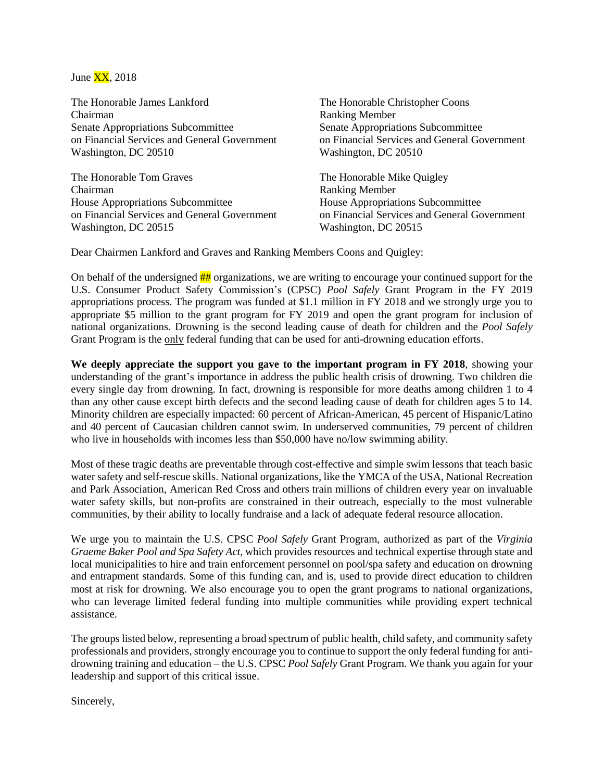

The Honorable James Lankford Chairman Senate Appropriations Subcommittee on Financial Services and General Government Washington, DC 20510

The Honorable Tom Graves Chairman House Appropriations Subcommittee on Financial Services and General Government Washington, DC 20515

The Honorable Christopher Coons Ranking Member Senate Appropriations Subcommittee on Financial Services and General Government Washington, DC 20510

The Honorable Mike Quigley Ranking Member House Appropriations Subcommittee on Financial Services and General Government Washington, DC 20515

Dear Chairmen Lankford and Graves and Ranking Members Coons and Quigley:

On behalf of the undersigned  $\frac{H}{H}$  organizations, we are writing to encourage your continued support for the U.S. Consumer Product Safety Commission's (CPSC) *Pool Safely* Grant Program in the FY 2019 appropriations process. The program was funded at \$1.1 million in FY 2018 and we strongly urge you to appropriate \$5 million to the grant program for FY 2019 and open the grant program for inclusion of national organizations. Drowning is the second leading cause of death for children and the *Pool Safely*  Grant Program is the only federal funding that can be used for anti-drowning education efforts.

**We deeply appreciate the support you gave to the important program in FY 2018**, showing your understanding of the grant's importance in address the public health crisis of drowning. Two children die every single day from drowning. In fact, drowning is responsible for more deaths among children 1 to 4 than any other cause except birth defects and the second leading cause of death for children ages 5 to 14. Minority children are especially impacted: 60 percent of African-American, 45 percent of Hispanic/Latino and 40 percent of Caucasian children cannot swim. In underserved communities, 79 percent of children who live in households with incomes less than \$50,000 have no/low swimming ability.

Most of these tragic deaths are preventable through cost-effective and simple swim lessons that teach basic water safety and self-rescue skills. National organizations, like the YMCA of the USA, National Recreation and Park Association, American Red Cross and others train millions of children every year on invaluable water safety skills, but non-profits are constrained in their outreach, especially to the most vulnerable communities, by their ability to locally fundraise and a lack of adequate federal resource allocation.

We urge you to maintain the U.S. CPSC *Pool Safely* Grant Program, authorized as part of the *Virginia Graeme Baker Pool and Spa Safety Act*, which provides resources and technical expertise through state and local municipalities to hire and train enforcement personnel on pool/spa safety and education on drowning and entrapment standards. Some of this funding can, and is, used to provide direct education to children most at risk for drowning. We also encourage you to open the grant programs to national organizations, who can leverage limited federal funding into multiple communities while providing expert technical assistance.

The groups listed below, representing a broad spectrum of public health, child safety, and community safety professionals and providers, strongly encourage you to continue to support the only federal funding for antidrowning training and education – the U.S. CPSC *Pool Safely* Grant Program. We thank you again for your leadership and support of this critical issue.

Sincerely,